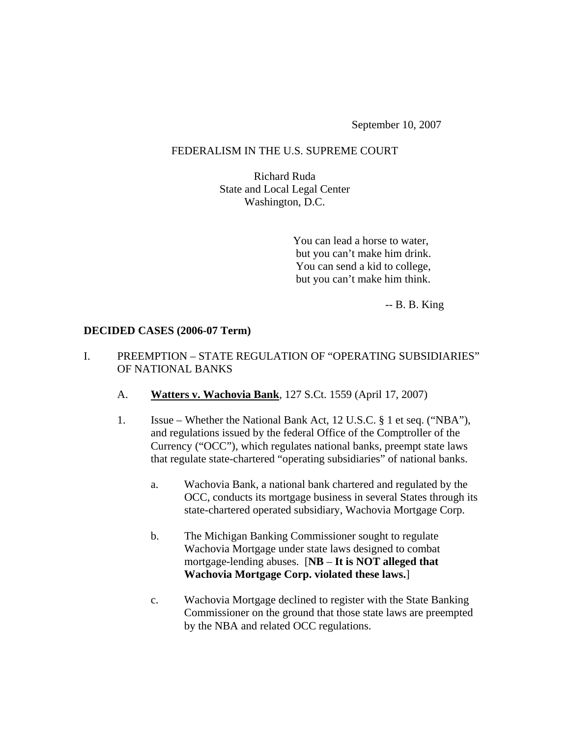September 10, 2007

#### FEDERALISM IN THE U.S. SUPREME COURT

Richard Ruda State and Local Legal Center Washington, D.C.

> You can lead a horse to water, but you can't make him drink. You can send a kid to college, but you can't make him think.

> > -- B. B. King

#### **DECIDED CASES (2006-07 Term)**

### I. PREEMPTION – STATE REGULATION OF "OPERATING SUBSIDIARIES" OF NATIONAL BANKS

- A. **Watters v. Wachovia Bank**, 127 S.Ct. 1559 (April 17, 2007)
- 1. Issue Whether the National Bank Act, 12 U.S.C. § 1 et seq. ("NBA"), and regulations issued by the federal Office of the Comptroller of the Currency ("OCC"), which regulates national banks, preempt state laws that regulate state-chartered "operating subsidiaries" of national banks.
	- a. Wachovia Bank, a national bank chartered and regulated by the OCC, conducts its mortgage business in several States through its state-chartered operated subsidiary, Wachovia Mortgage Corp.
	- b. The Michigan Banking Commissioner sought to regulate Wachovia Mortgage under state laws designed to combat mortgage-lending abuses. [**NB** – **It is NOT alleged that Wachovia Mortgage Corp. violated these laws.**]
	- c. Wachovia Mortgage declined to register with the State Banking Commissioner on the ground that those state laws are preempted by the NBA and related OCC regulations.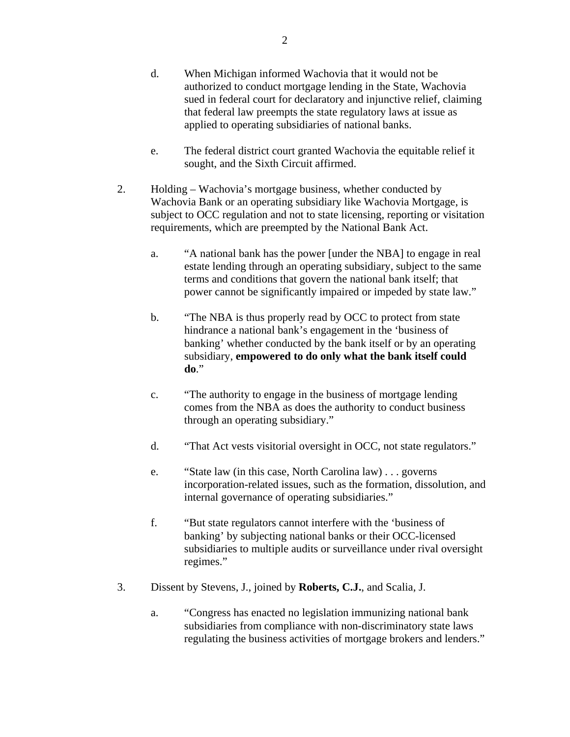- d. When Michigan informed Wachovia that it would not be authorized to conduct mortgage lending in the State, Wachovia sued in federal court for declaratory and injunctive relief, claiming that federal law preempts the state regulatory laws at issue as applied to operating subsidiaries of national banks.
- e. The federal district court granted Wachovia the equitable relief it sought, and the Sixth Circuit affirmed.
- 2. Holding Wachovia's mortgage business, whether conducted by Wachovia Bank or an operating subsidiary like Wachovia Mortgage, is subject to OCC regulation and not to state licensing, reporting or visitation requirements, which are preempted by the National Bank Act.
	- a. "A national bank has the power [under the NBA] to engage in real estate lending through an operating subsidiary, subject to the same terms and conditions that govern the national bank itself; that power cannot be significantly impaired or impeded by state law."
	- b. "The NBA is thus properly read by OCC to protect from state hindrance a national bank's engagement in the 'business of banking' whether conducted by the bank itself or by an operating subsidiary, **empowered to do only what the bank itself could do**."
	- c. "The authority to engage in the business of mortgage lending comes from the NBA as does the authority to conduct business through an operating subsidiary."
	- d. "That Act vests visitorial oversight in OCC, not state regulators."
	- e. "State law (in this case, North Carolina law) . . . governs incorporation-related issues, such as the formation, dissolution, and internal governance of operating subsidiaries."
	- f. "But state regulators cannot interfere with the 'business of banking' by subjecting national banks or their OCC-licensed subsidiaries to multiple audits or surveillance under rival oversight regimes."
- 3. Dissent by Stevens, J., joined by **Roberts, C.J.**, and Scalia, J.
	- a. "Congress has enacted no legislation immunizing national bank subsidiaries from compliance with non-discriminatory state laws regulating the business activities of mortgage brokers and lenders."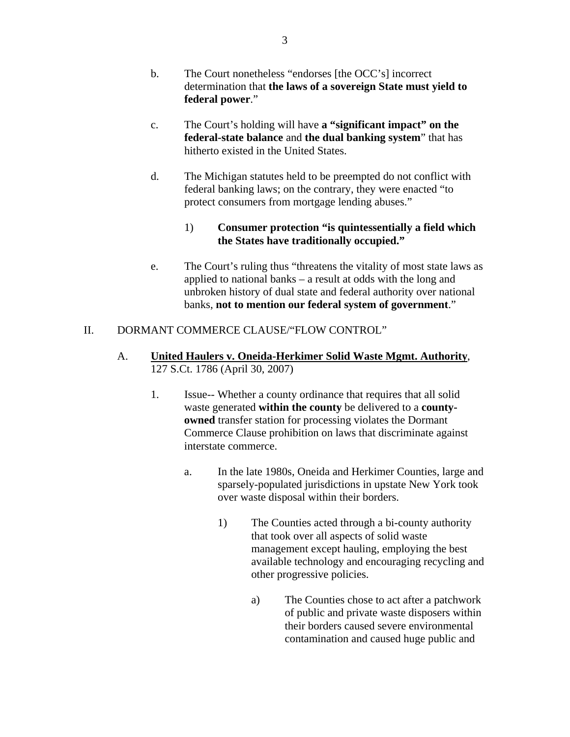- b. The Court nonetheless "endorses [the OCC's] incorrect determination that **the laws of a sovereign State must yield to federal power**."
- c. The Court's holding will have **a "significant impact" on the federal-state balance** and **the dual banking system**" that has hitherto existed in the United States.
- d. The Michigan statutes held to be preempted do not conflict with federal banking laws; on the contrary, they were enacted "to protect consumers from mortgage lending abuses."

## 1) **Consumer protection "is quintessentially a field which the States have traditionally occupied."**

e. The Court's ruling thus "threatens the vitality of most state laws as applied to national banks – a result at odds with the long and unbroken history of dual state and federal authority over national banks, **not to mention our federal system of government**."

# II. DORMANT COMMERCE CLAUSE/"FLOW CONTROL"

- A. **United Haulers v. Oneida-Herkimer Solid Waste Mgmt. Authority**, 127 S.Ct. 1786 (April 30, 2007)
	- 1. Issue-- Whether a county ordinance that requires that all solid waste generated **within the county** be delivered to a **countyowned** transfer station for processing violates the Dormant Commerce Clause prohibition on laws that discriminate against interstate commerce.
		- a. In the late 1980s, Oneida and Herkimer Counties, large and sparsely-populated jurisdictions in upstate New York took over waste disposal within their borders.
			- 1) The Counties acted through a bi-county authority that took over all aspects of solid waste management except hauling, employing the best available technology and encouraging recycling and other progressive policies.
				- a) The Counties chose to act after a patchwork of public and private waste disposers within their borders caused severe environmental contamination and caused huge public and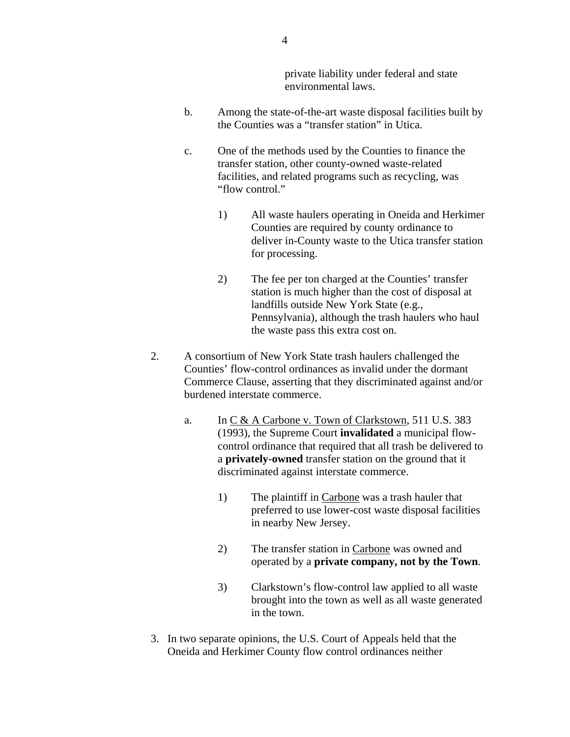private liability under federal and state environmental laws.

- b. Among the state-of-the-art waste disposal facilities built by the Counties was a "transfer station" in Utica.
- c. One of the methods used by the Counties to finance the transfer station, other county-owned waste-related facilities, and related programs such as recycling, was "flow control."
	- 1) All waste haulers operating in Oneida and Herkimer Counties are required by county ordinance to deliver in-County waste to the Utica transfer station for processing.
	- 2) The fee per ton charged at the Counties' transfer station is much higher than the cost of disposal at landfills outside New York State (e.g., Pennsylvania), although the trash haulers who haul the waste pass this extra cost on.
- 2. A consortium of New York State trash haulers challenged the Counties' flow-control ordinances as invalid under the dormant Commerce Clause, asserting that they discriminated against and/or burdened interstate commerce.
	- a. In C & A Carbone v. Town of Clarkstown, 511 U.S. 383 (1993), the Supreme Court **invalidated** a municipal flowcontrol ordinance that required that all trash be delivered to a **privately-owned** transfer station on the ground that it discriminated against interstate commerce.
		- 1) The plaintiff in Carbone was a trash hauler that preferred to use lower-cost waste disposal facilities in nearby New Jersey.
		- 2) The transfer station in Carbone was owned and operated by a **private company, not by the Town**.
		- 3) Clarkstown's flow-control law applied to all waste brought into the town as well as all waste generated in the town.
- 3. In two separate opinions, the U.S. Court of Appeals held that the Oneida and Herkimer County flow control ordinances neither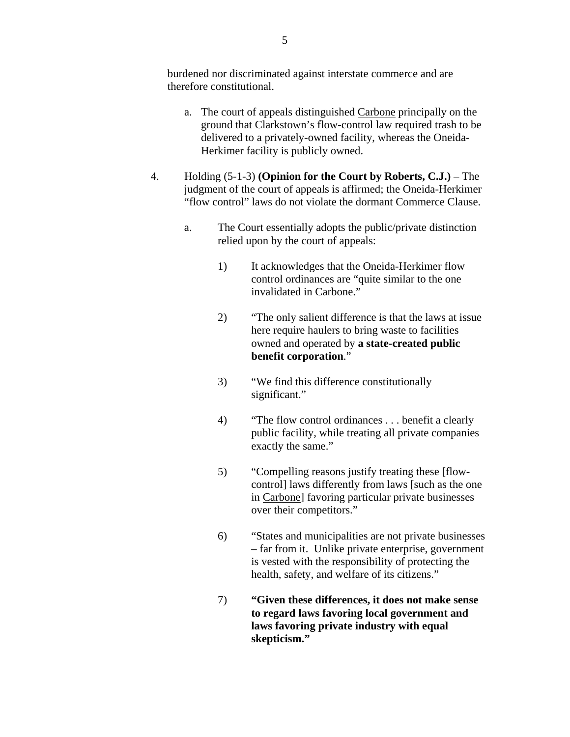burdened nor discriminated against interstate commerce and are therefore constitutional.

- a. The court of appeals distinguished Carbone principally on the ground that Clarkstown's flow-control law required trash to be delivered to a privately-owned facility, whereas the Oneida-Herkimer facility is publicly owned.
- 4. Holding (5-1-3) **(Opinion for the Court by Roberts, C.J.)**  The judgment of the court of appeals is affirmed; the Oneida-Herkimer "flow control" laws do not violate the dormant Commerce Clause.
	- a. The Court essentially adopts the public/private distinction relied upon by the court of appeals:
		- 1) It acknowledges that the Oneida-Herkimer flow control ordinances are "quite similar to the one invalidated in Carbone."
		- 2) "The only salient difference is that the laws at issue here require haulers to bring waste to facilities owned and operated by **a state-created public benefit corporation**."
		- 3) "We find this difference constitutionally significant."
		- 4) "The flow control ordinances . . . benefit a clearly public facility, while treating all private companies exactly the same."
		- 5) "Compelling reasons justify treating these [flowcontrol] laws differently from laws [such as the one in Carbone] favoring particular private businesses over their competitors."
		- 6) "States and municipalities are not private businesses – far from it. Unlike private enterprise, government is vested with the responsibility of protecting the health, safety, and welfare of its citizens."
		- 7) **"Given these differences, it does not make sense to regard laws favoring local government and laws favoring private industry with equal skepticism."**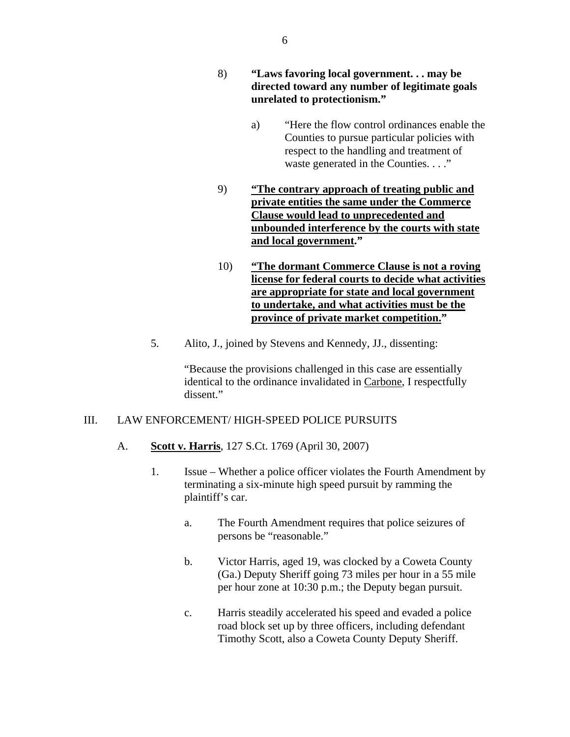- 8) **"Laws favoring local government. . . may be directed toward any number of legitimate goals unrelated to protectionism."** 
	- a) "Here the flow control ordinances enable the Counties to pursue particular policies with respect to the handling and treatment of waste generated in the Counties. . . ."
- 9) **"The contrary approach of treating public and private entities the same under the Commerce Clause would lead to unprecedented and unbounded interference by the courts with state and local government."**
- 10) **"The dormant Commerce Clause is not a roving license for federal courts to decide what activities are appropriate for state and local government to undertake, and what activities must be the province of private market competition."**
- 5. Alito, J., joined by Stevens and Kennedy, JJ., dissenting:

"Because the provisions challenged in this case are essentially identical to the ordinance invalidated in Carbone, I respectfully dissent."

#### III. LAW ENFORCEMENT/ HIGH-SPEED POLICE PURSUITS

- A. **Scott v. Harris**, 127 S.Ct. 1769 (April 30, 2007)
	- 1. Issue Whether a police officer violates the Fourth Amendment by terminating a six-minute high speed pursuit by ramming the plaintiff's car.
		- a. The Fourth Amendment requires that police seizures of persons be "reasonable."
		- b. Victor Harris, aged 19, was clocked by a Coweta County (Ga.) Deputy Sheriff going 73 miles per hour in a 55 mile per hour zone at 10:30 p.m.; the Deputy began pursuit.
		- c. Harris steadily accelerated his speed and evaded a police road block set up by three officers, including defendant Timothy Scott, also a Coweta County Deputy Sheriff.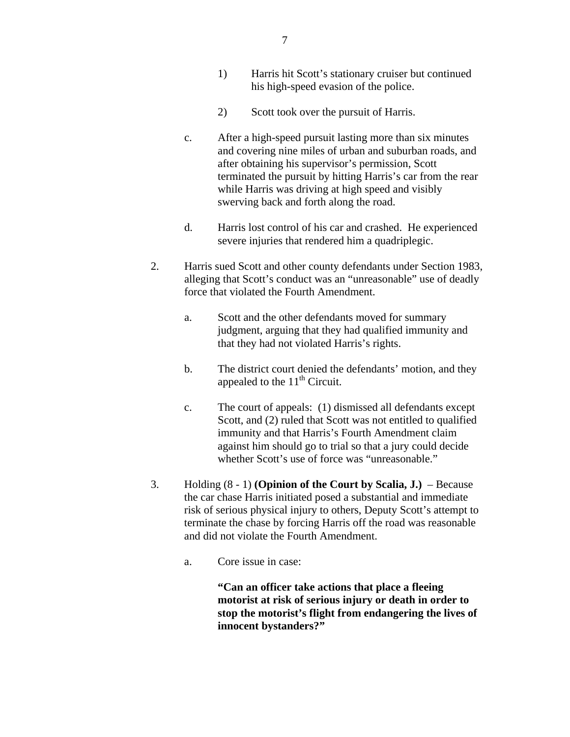- 1) Harris hit Scott's stationary cruiser but continued his high-speed evasion of the police.
- 2) Scott took over the pursuit of Harris.
- c. After a high-speed pursuit lasting more than six minutes and covering nine miles of urban and suburban roads, and after obtaining his supervisor's permission, Scott terminated the pursuit by hitting Harris's car from the rear while Harris was driving at high speed and visibly swerving back and forth along the road.
- d. Harris lost control of his car and crashed. He experienced severe injuries that rendered him a quadriplegic.
- 2. Harris sued Scott and other county defendants under Section 1983, alleging that Scott's conduct was an "unreasonable" use of deadly force that violated the Fourth Amendment.
	- a. Scott and the other defendants moved for summary judgment, arguing that they had qualified immunity and that they had not violated Harris's rights.
	- b. The district court denied the defendants' motion, and they appealed to the  $11<sup>th</sup>$  Circuit.
	- c. The court of appeals: (1) dismissed all defendants except Scott, and (2) ruled that Scott was not entitled to qualified immunity and that Harris's Fourth Amendment claim against him should go to trial so that a jury could decide whether Scott's use of force was "unreasonable."
- 3. Holding (8 1) **(Opinion of the Court by Scalia, J.)**  Because the car chase Harris initiated posed a substantial and immediate risk of serious physical injury to others, Deputy Scott's attempt to terminate the chase by forcing Harris off the road was reasonable and did not violate the Fourth Amendment.
	- a. Core issue in case:

**"Can an officer take actions that place a fleeing motorist at risk of serious injury or death in order to stop the motorist's flight from endangering the lives of innocent bystanders?"**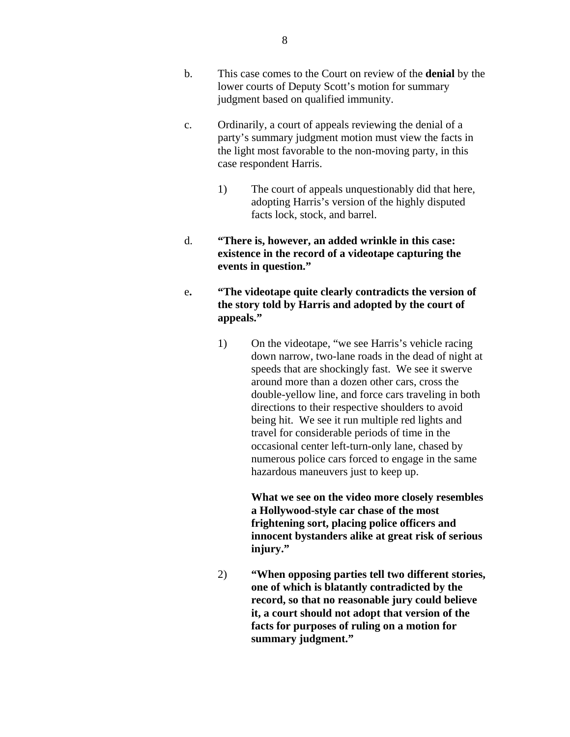- c. Ordinarily, a court of appeals reviewing the denial of a party's summary judgment motion must view the facts in the light most favorable to the non-moving party, in this case respondent Harris.
	- 1) The court of appeals unquestionably did that here, adopting Harris's version of the highly disputed facts lock, stock, and barrel.
- d. **"There is, however, an added wrinkle in this case: existence in the record of a videotape capturing the events in question."**
- e**. "The videotape quite clearly contradicts the version of the story told by Harris and adopted by the court of appeals."** 
	- 1) On the videotape, "we see Harris's vehicle racing down narrow, two-lane roads in the dead of night at speeds that are shockingly fast. We see it swerve around more than a dozen other cars, cross the double-yellow line, and force cars traveling in both directions to their respective shoulders to avoid being hit. We see it run multiple red lights and travel for considerable periods of time in the occasional center left-turn-only lane, chased by numerous police cars forced to engage in the same hazardous maneuvers just to keep up.

**What we see on the video more closely resembles a Hollywood-style car chase of the most frightening sort, placing police officers and innocent bystanders alike at great risk of serious injury."** 

2) **"When opposing parties tell two different stories, one of which is blatantly contradicted by the record, so that no reasonable jury could believe it, a court should not adopt that version of the facts for purposes of ruling on a motion for summary judgment."**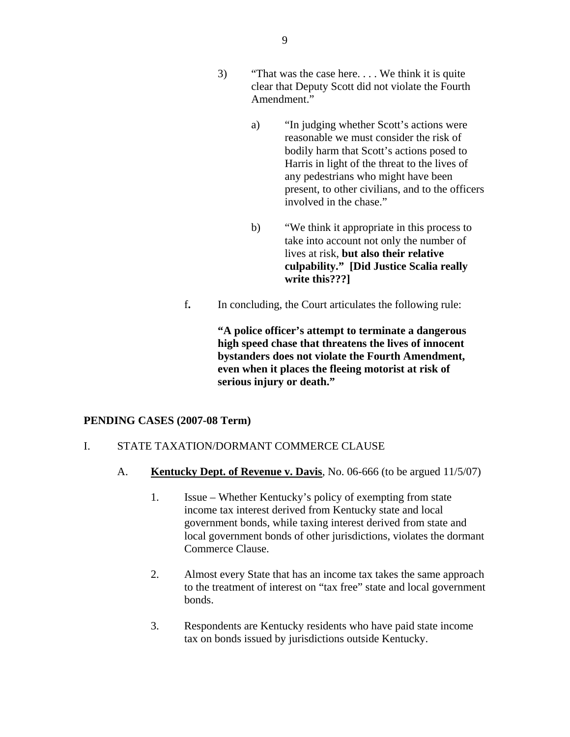- 3) "That was the case here. . . . We think it is quite clear that Deputy Scott did not violate the Fourth Amendment."
	- a) "In judging whether Scott's actions were reasonable we must consider the risk of bodily harm that Scott's actions posed to Harris in light of the threat to the lives of any pedestrians who might have been present, to other civilians, and to the officers involved in the chase."
	- b) "We think it appropriate in this process to take into account not only the number of lives at risk, **but also their relative culpability." [Did Justice Scalia really write this???]**
- f**.** In concluding, the Court articulates the following rule:

**"A police officer's attempt to terminate a dangerous high speed chase that threatens the lives of innocent bystanders does not violate the Fourth Amendment, even when it places the fleeing motorist at risk of serious injury or death."** 

#### **PENDING CASES (2007-08 Term)**

#### I. STATE TAXATION/DORMANT COMMERCE CLAUSE

- A. **Kentucky Dept. of Revenue v. Davis**, No. 06-666 (to be argued 11/5/07)
	- 1. Issue Whether Kentucky's policy of exempting from state income tax interest derived from Kentucky state and local government bonds, while taxing interest derived from state and local government bonds of other jurisdictions, violates the dormant Commerce Clause.
	- 2. Almost every State that has an income tax takes the same approach to the treatment of interest on "tax free" state and local government bonds.
	- 3. Respondents are Kentucky residents who have paid state income tax on bonds issued by jurisdictions outside Kentucky.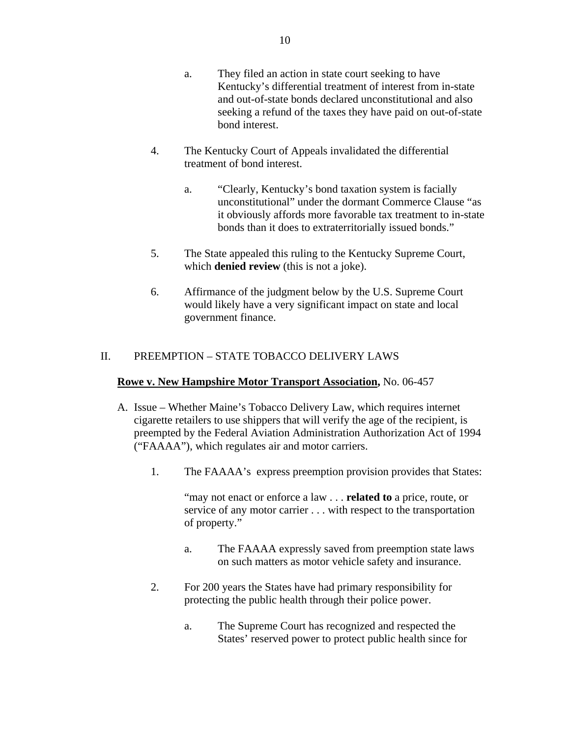- a. They filed an action in state court seeking to have Kentucky's differential treatment of interest from in-state and out-of-state bonds declared unconstitutional and also seeking a refund of the taxes they have paid on out-of-state bond interest.
- 4. The Kentucky Court of Appeals invalidated the differential treatment of bond interest.
	- a. "Clearly, Kentucky's bond taxation system is facially unconstitutional" under the dormant Commerce Clause "as it obviously affords more favorable tax treatment to in-state bonds than it does to extraterritorially issued bonds."
- 5. The State appealed this ruling to the Kentucky Supreme Court, which **denied review** (this is not a joke).
- 6. Affirmance of the judgment below by the U.S. Supreme Court would likely have a very significant impact on state and local government finance.

# II. PREEMPTION – STATE TOBACCO DELIVERY LAWS

### **Rowe v. New Hampshire Motor Transport Association,** No. 06-457

- A. Issue Whether Maine's Tobacco Delivery Law, which requires internet cigarette retailers to use shippers that will verify the age of the recipient, is preempted by the Federal Aviation Administration Authorization Act of 1994 ("FAAAA"), which regulates air and motor carriers.
	- 1. The FAAAA's express preemption provision provides that States:

"may not enact or enforce a law . . . **related to** a price, route, or service of any motor carrier . . . with respect to the transportation of property."

- a. The FAAAA expressly saved from preemption state laws on such matters as motor vehicle safety and insurance.
- 2. For 200 years the States have had primary responsibility for protecting the public health through their police power.
	- a. The Supreme Court has recognized and respected the States' reserved power to protect public health since for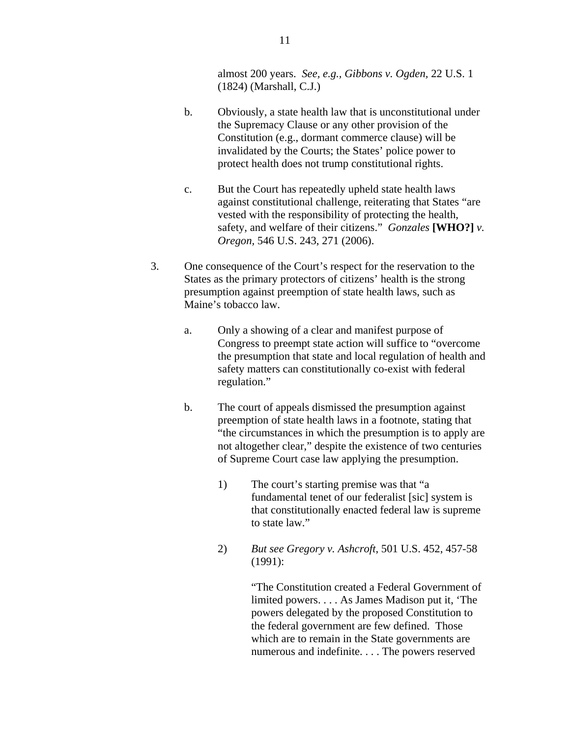almost 200 years. *See, e.g., Gibbons v. Ogden,* 22 U.S. 1 (1824) (Marshall, C.J.)

- b. Obviously, a state health law that is unconstitutional under the Supremacy Clause or any other provision of the Constitution (e.g., dormant commerce clause) will be invalidated by the Courts; the States' police power to protect health does not trump constitutional rights.
- c. But the Court has repeatedly upheld state health laws against constitutional challenge, reiterating that States "are vested with the responsibility of protecting the health, safety, and welfare of their citizens." *Gonzales* **[WHO?]** *v. Oregon,* 546 U.S. 243, 271 (2006).
- 3. One consequence of the Court's respect for the reservation to the States as the primary protectors of citizens' health is the strong presumption against preemption of state health laws, such as Maine's tobacco law.
	- a. Only a showing of a clear and manifest purpose of Congress to preempt state action will suffice to "overcome the presumption that state and local regulation of health and safety matters can constitutionally co-exist with federal regulation."
	- b. The court of appeals dismissed the presumption against preemption of state health laws in a footnote, stating that "the circumstances in which the presumption is to apply are not altogether clear," despite the existence of two centuries of Supreme Court case law applying the presumption.
		- 1) The court's starting premise was that "a fundamental tenet of our federalist [sic] system is that constitutionally enacted federal law is supreme to state law."
		- 2) *But see Gregory v. Ashcroft*, 501 U.S. 452, 457-58 (1991):

 "The Constitution created a Federal Government of limited powers. . . . As James Madison put it, 'The powers delegated by the proposed Constitution to the federal government are few defined. Those which are to remain in the State governments are numerous and indefinite. . . . The powers reserved